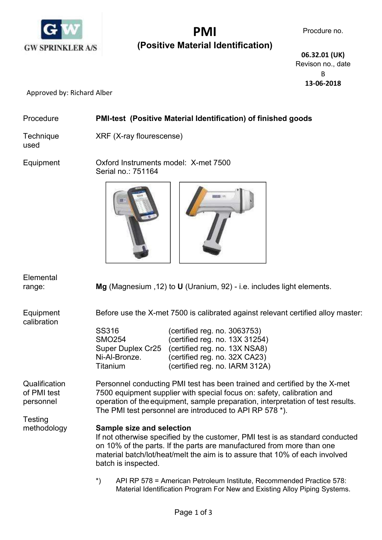

# PMI (Positive Material Identification)

 06.32.01 (UK) Revison no., date B 13-06-2018

Approved by: Richard Alber

### Procedure PMI-test (Positive Material Identification) of finished goods

used

Technique XRF (X-ray flourescense)

Equipment Oxford Instruments model: X-met 7500 Serial no.: 751164





| Elemental<br>range:                                  |                                                                                                                                                                                                                                                                                                   | Mg (Magnesium, 12) to $U$ (Uranium, 92) - i.e. includes light elements.                                                                                                                                                                                |
|------------------------------------------------------|---------------------------------------------------------------------------------------------------------------------------------------------------------------------------------------------------------------------------------------------------------------------------------------------------|--------------------------------------------------------------------------------------------------------------------------------------------------------------------------------------------------------------------------------------------------------|
| Equipment<br>calibration                             | SS316<br><b>SMO254</b><br>Super Duplex Cr25<br>Ni-Al-Bronze.<br>Titanium                                                                                                                                                                                                                          | Before use the X-met 7500 is calibrated against relevant certified alloy master:<br>(certified reg. no. 3063753)<br>(certified reg. no. 13X 31254)<br>(certified reg. no. 13X NSA8)<br>(certified reg. no. 32X CA23)<br>(certified reg. no. IARM 312A) |
| Qualification<br>of PMI test<br>personnel<br>Testing | Personnel conducting PMI test has been trained and certified by the X-met<br>7500 equipment supplier with special focus on: safety, calibration and<br>operation of the equipment, sample preparation, interpretation of test results.<br>The PMI test personnel are introduced to API RP 578 *). |                                                                                                                                                                                                                                                        |
| methodology                                          | <b>Sample size and selection</b><br>If not otherwise specified by the customer, PMI test is as standard conducted<br>on 10% of the parts. If the parts are manufactured from more than one<br>material batch/lot/heat/melt the aim is to assure that 10% of each involved<br>batch is inspected.  |                                                                                                                                                                                                                                                        |
|                                                      | $^{\star}$                                                                                                                                                                                                                                                                                        | API RP 578 = American Petroleum Institute, Recommended Practice 578:<br>Material Identification Program For New and Existing Alloy Piping Systems.                                                                                                     |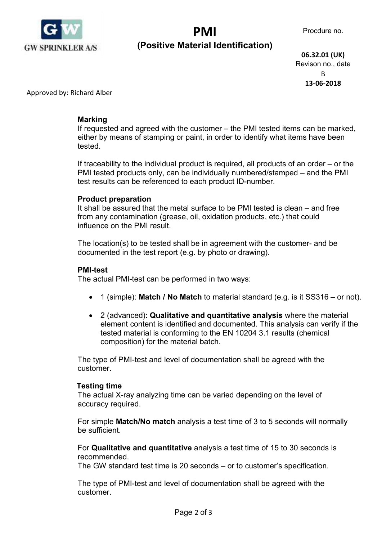

## PMI (Positive Material Identification)

 06.32.01 (UK) Revison no., date B 13-06-2018

Approved by: Richard Alber

### Marking

 If requested and agreed with the customer – the PMI tested items can be marked, either by means of stamping or paint, in order to identify what items have been tested.

 If traceability to the individual product is required, all products of an order – or the PMI tested products only, can be individually numbered/stamped – and the PMI test results can be referenced to each product ID-number.

#### Product preparation

 It shall be assured that the metal surface to be PMI tested is clean – and free from any contamination (grease, oil, oxidation products, etc.) that could influence on the PMI result.

 The location(s) to be tested shall be in agreement with the customer- and be documented in the test report (e.g. by photo or drawing).

#### PMI-test

The actual PMI-test can be performed in two ways:

- 1 (simple): Match / No Match to material standard (e.g. is it  $SS316 -$  or not).
- 2 (advanced): Qualitative and quantitative analysis where the material element content is identified and documented. This analysis can verify if the tested material is conforming to the EN 10204 3.1 results (chemical composition) for the material batch.

 The type of PMI-test and level of documentation shall be agreed with the customer.

#### Testing time

 The actual X-ray analyzing time can be varied depending on the level of accuracy required.

 For simple Match/No match analysis a test time of 3 to 5 seconds will normally be sufficient.

 For Qualitative and quantitative analysis a test time of 15 to 30 seconds is recommended.

The GW standard test time is 20 seconds – or to customer's specification.

 The type of PMI-test and level of documentation shall be agreed with the customer.